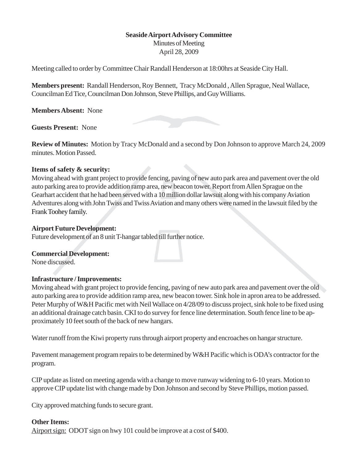## **Seaside Airport Advisory Committee**

Minutes of Meeting April 28, 2009

Meeting called to order by Committee Chair Randall Henderson at 18:00hrs at Seaside City Hall.

**Members present:** Randall Henderson, Roy Bennett, Tracy McDonald , Allen Sprague, Neal Wallace, Councilman Ed Tice, Councilman Don Johnson, Steve Phillips, and Guy Williams.

**Members Absent:** None

**Guests Present:** None

**Review of Minutes:** Motion by Tracy McDonald and a second by Don Johnson to approve March 24, 2009 minutes. Motion Passed.

### **Items of safety & security:**

Moving ahead with grant project to provide fencing, paving of new auto park area and pavement over the old auto parking area to provide addition ramp area, new beacon tower. Report from Allen Sprague on the Gearhart accident that he had been served with a 10 million dollar lawsuit along with his company Aviation Adventures along with John Twiss and Twiss Aviation and many others were named in the lawsuit filed by the Frank Toohey family.

### **Airport Future Development:**

Future development of an 8 unit T-hangar tabled till further notice.

### **Commercial Development:**

None discussed.

### **Infrastructure / Improvements:**

Moving ahead with grant project to provide fencing, paving of new auto park area and pavement over the old auto parking area to provide addition ramp area, new beacon tower. Sink hole in apron area to be addressed. Peter Murphy of W&H Pacific met with Neil Wallace on 4/28/09 to discuss project, sink hole to be fixed using an additional drainage catch basin. CKI to do survey for fence line determination. South fence line to be approximately 10 feet south of the back of new hangars.

Water runoff from the Kiwi property runs through airport property and encroaches on hangar structure.

Pavement management program repairs to be determined by W&H Pacific which is ODA's contractor for the program.

CIP update as listed on meeting agenda with a change to move runway widening to 6-10 years. Motion to approve CIP update list with change made by Don Johnson and second by Steve Phillips, motion passed.

City approved matching funds to secure grant.

# **Other Items:**

Airport sign: ODOT sign on hwy 101 could be improve at a cost of \$400.